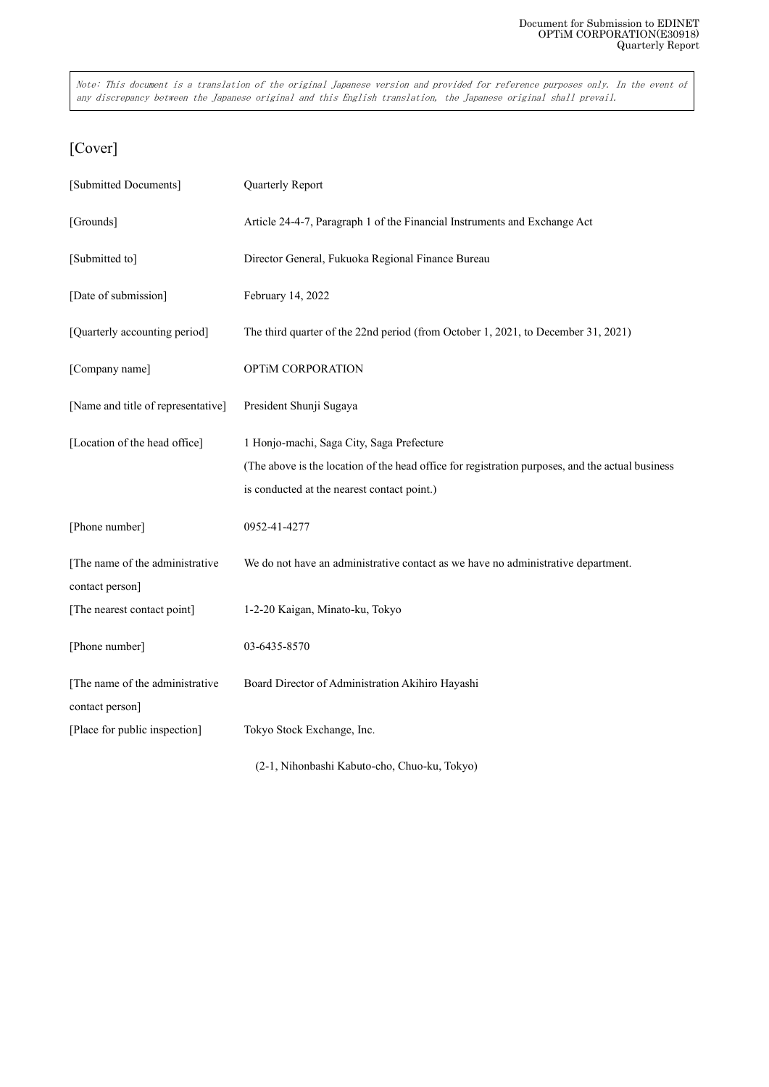Note: This document is a translation of the original Japanese version and provided for reference purposes only. In the event of any discrepancy between the Japanese original and this English translation, the Japanese original shall prevail.

# [Cover]

| [Submitted Documents]                              | Quarterly Report                                                                                 |
|----------------------------------------------------|--------------------------------------------------------------------------------------------------|
| [Grounds]                                          | Article 24-4-7, Paragraph 1 of the Financial Instruments and Exchange Act                        |
| [Submitted to]                                     | Director General, Fukuoka Regional Finance Bureau                                                |
| [Date of submission]                               | February 14, 2022                                                                                |
| [Quarterly accounting period]                      | The third quarter of the 22nd period (from October 1, 2021, to December 31, 2021)                |
| [Company name]                                     | OPTIM CORPORATION                                                                                |
| [Name and title of representative]                 | President Shunji Sugaya                                                                          |
| [Location of the head office]                      | 1 Honjo-machi, Saga City, Saga Prefecture                                                        |
|                                                    | (The above is the location of the head office for registration purposes, and the actual business |
|                                                    | is conducted at the nearest contact point.)                                                      |
| [Phone number]                                     | 0952-41-4277                                                                                     |
| [The name of the administrative<br>contact person] | We do not have an administrative contact as we have no administrative department.                |
| [The nearest contact point]                        | 1-2-20 Kaigan, Minato-ku, Tokyo                                                                  |
| [Phone number]                                     | 03-6435-8570                                                                                     |
| [The name of the administrative<br>contact person] | Board Director of Administration Akihiro Hayashi                                                 |
| [Place for public inspection]                      | Tokyo Stock Exchange, Inc.                                                                       |

(2-1, Nihonbashi Kabuto-cho, Chuo-ku, Tokyo)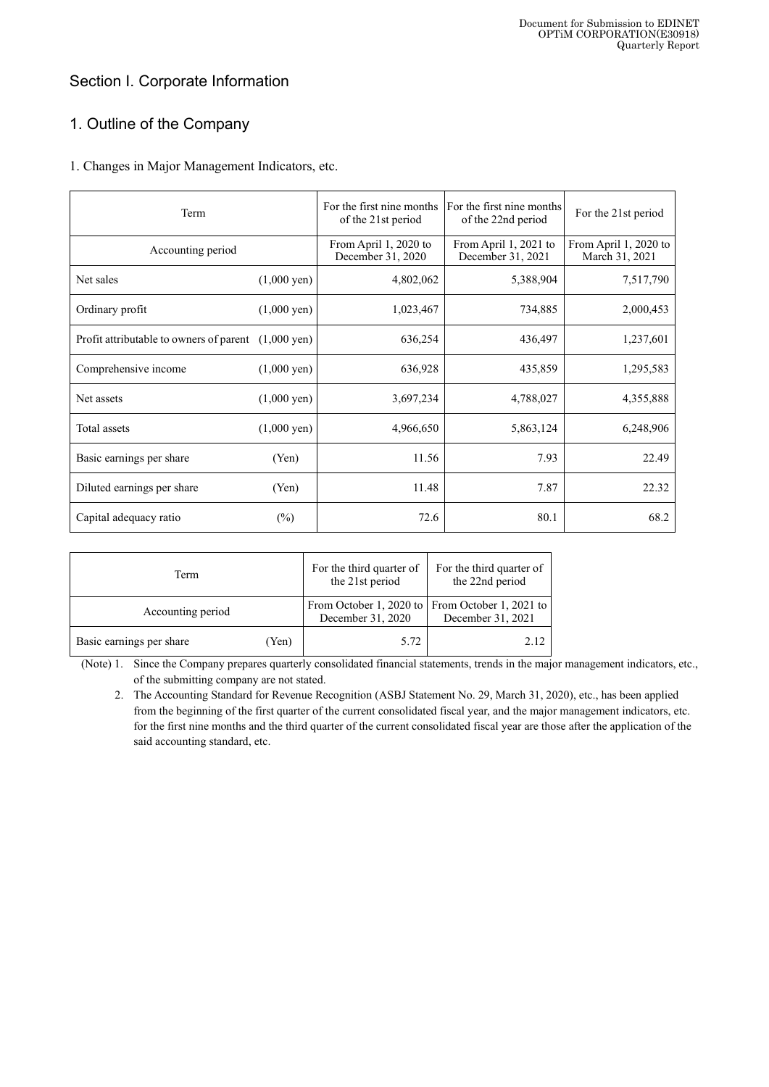# Section I. Corporate Information

# 1. Outline of the Company

## 1. Changes in Major Management Indicators, etc.

| Term                                    |                       | For the first nine months<br>of the 21st period | For the first nine months<br>of the 22nd period | For the 21st period                     |
|-----------------------------------------|-----------------------|-------------------------------------------------|-------------------------------------------------|-----------------------------------------|
| Accounting period                       |                       | From April 1, 2020 to<br>December 31, 2020      | From April 1, 2021 to<br>December 31, 2021      | From April 1, 2020 to<br>March 31, 2021 |
| Net sales                               | $(1,000 \text{ yen})$ | 4,802,062                                       | 5,388,904                                       | 7,517,790                               |
| Ordinary profit                         | $(1,000 \text{ yen})$ | 1,023,467                                       | 734,885                                         | 2,000,453                               |
| Profit attributable to owners of parent | $(1,000 \text{ yen})$ | 636,254                                         | 436,497                                         | 1,237,601                               |
| Comprehensive income                    | $(1,000 \text{ yen})$ | 636,928                                         | 435,859                                         | 1,295,583                               |
| Net assets                              | $(1,000 \text{ yen})$ | 3,697,234                                       | 4,788,027                                       | 4,355,888                               |
| Total assets                            | $(1,000 \text{ yen})$ | 4,966,650                                       | 5,863,124                                       | 6,248,906                               |
| Basic earnings per share                | (Yen)                 | 11.56                                           | 7.93                                            | 22.49                                   |
| Diluted earnings per share              | (Yen)                 | 11.48                                           | 7.87                                            | 22.32                                   |
| Capital adequacy ratio                  | $(\%)$                | 72.6                                            | 80.1                                            | 68.2                                    |

| Term                     |       | For the third quarter of<br>the 21st period | For the third quarter of<br>the 22nd period                          |
|--------------------------|-------|---------------------------------------------|----------------------------------------------------------------------|
| Accounting period        |       | December 31, 2020                           | From October 1, 2020 to From October 1, 2021 to<br>December 31, 2021 |
| Basic earnings per share | (Yen) | 5.72                                        | 2.12                                                                 |

(Note) 1. Since the Company prepares quarterly consolidated financial statements, trends in the major management indicators, etc., of the submitting company are not stated.

2. The Accounting Standard for Revenue Recognition (ASBJ Statement No. 29, March 31, 2020), etc., has been applied from the beginning of the first quarter of the current consolidated fiscal year, and the major management indicators, etc. for the first nine months and the third quarter of the current consolidated fiscal year are those after the application of the said accounting standard, etc.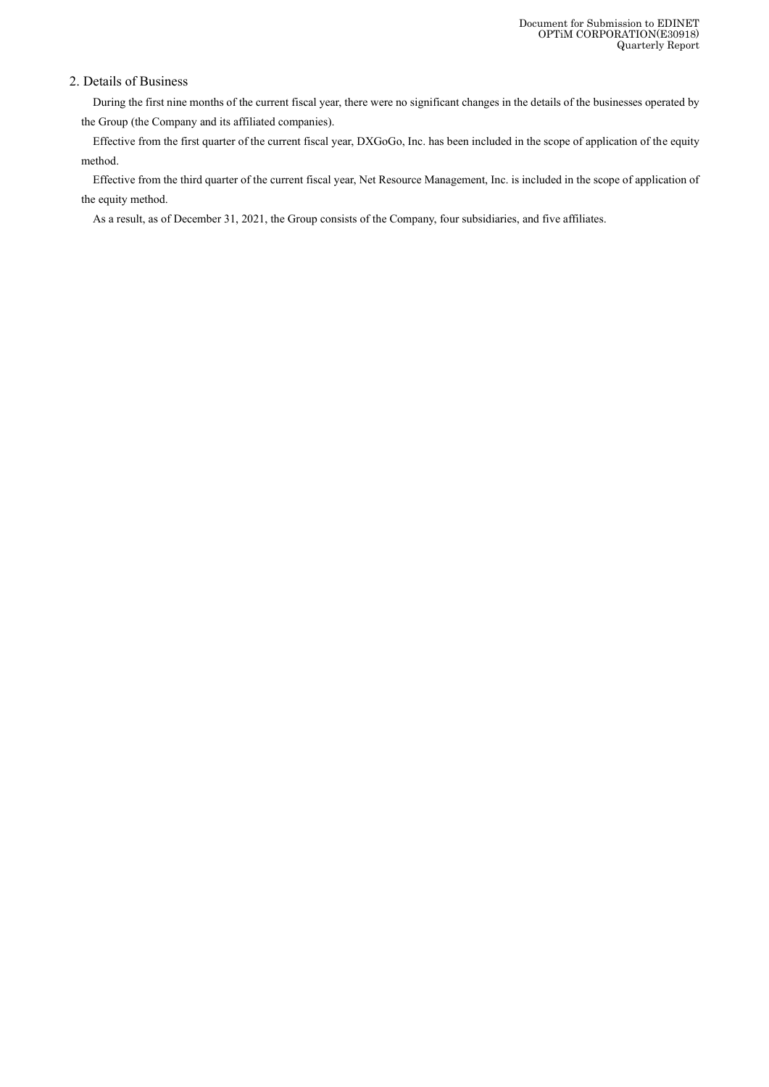## 2. Details of Business

During the first nine months of the current fiscal year, there were no significant changes in the details of the businesses operated by the Group (the Company and its affiliated companies).

Effective from the first quarter of the current fiscal year, DXGoGo, Inc. has been included in the scope of application of the equity method.

Effective from the third quarter of the current fiscal year, Net Resource Management, Inc. is included in the scope of application of the equity method.

As a result, as of December 31, 2021, the Group consists of the Company, four subsidiaries, and five affiliates.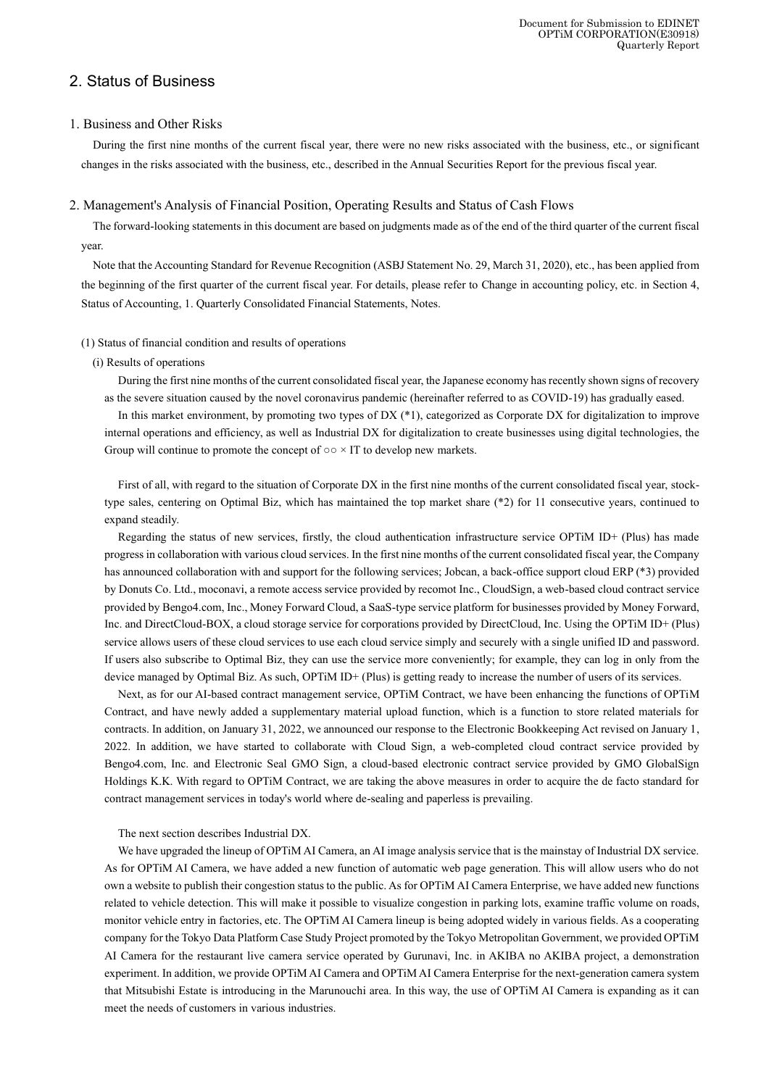# 2. Status of Business

### 1. Business and Other Risks

During the first nine months of the current fiscal year, there were no new risks associated with the business, etc., or significant changes in the risks associated with the business, etc., described in the Annual Securities Report for the previous fiscal year.

#### 2. Management's Analysis of Financial Position, Operating Results and Status of Cash Flows

The forward-looking statements in this document are based on judgments made as of the end of the third quarter of the current fiscal year.

Note that the Accounting Standard for Revenue Recognition (ASBJ Statement No. 29, March 31, 2020), etc., has been applied from the beginning of the first quarter of the current fiscal year. For details, please refer to Change in accounting policy, etc. in Section 4, Status of Accounting, 1. Quarterly Consolidated Financial Statements, Notes.

#### (1) Status of financial condition and results of operations

#### (i) Results of operations

During the first nine months of the current consolidated fiscal year, the Japanese economy has recently shown signs of recovery as the severe situation caused by the novel coronavirus pandemic (hereinafter referred to as COVID-19) has gradually eased.

In this market environment, by promoting two types of DX (\*1), categorized as Corporate DX for digitalization to improve internal operations and efficiency, as well as Industrial DX for digitalization to create businesses using digital technologies, the Group will continue to promote the concept of  $\circ \circ \times$  IT to develop new markets.

First of all, with regard to the situation of Corporate DX in the first nine months of the current consolidated fiscal year, stocktype sales, centering on Optimal Biz, which has maintained the top market share (\*2) for 11 consecutive years, continued to expand steadily.

Regarding the status of new services, firstly, the cloud authentication infrastructure service OPTiM ID+ (Plus) has made progress in collaboration with various cloud services. In the first nine months of the current consolidated fiscal year, the Company has announced collaboration with and support for the following services; Jobcan, a back-office support cloud ERP (\*3) provided by Donuts Co. Ltd., moconavi, a remote access service provided by recomot Inc., CloudSign, a web-based cloud contract service provided by Bengo4.com, Inc., Money Forward Cloud, a SaaS-type service platform for businesses provided by Money Forward, Inc. and DirectCloud-BOX, a cloud storage service for corporations provided by DirectCloud, Inc. Using the OPTiM ID+ (Plus) service allows users of these cloud services to use each cloud service simply and securely with a single unified ID and password. If users also subscribe to Optimal Biz, they can use the service more conveniently; for example, they can log in only from the device managed by Optimal Biz. As such, OPTiM ID+ (Plus) is getting ready to increase the number of users of its services.

Next, as for our AI-based contract management service, OPTiM Contract, we have been enhancing the functions of OPTiM Contract, and have newly added a supplementary material upload function, which is a function to store related materials for contracts. In addition, on January 31, 2022, we announced our response to the Electronic Bookkeeping Act revised on January 1, 2022. In addition, we have started to collaborate with Cloud Sign, a web-completed cloud contract service provided by Bengo4.com, Inc. and Electronic Seal GMO Sign, a cloud-based electronic contract service provided by GMO GlobalSign Holdings K.K. With regard to OPTiM Contract, we are taking the above measures in order to acquire the de facto standard for contract management services in today's world where de-sealing and paperless is prevailing.

The next section describes Industrial DX.

We have upgraded the lineup of OPTiM AI Camera, an AI image analysis service that is the mainstay of Industrial DX service. As for OPTiM AI Camera, we have added a new function of automatic web page generation. This will allow users who do not own a website to publish their congestion status to the public. As for OPTiM AI Camera Enterprise, we have added new functions related to vehicle detection. This will make it possible to visualize congestion in parking lots, examine traffic volume on roads, monitor vehicle entry in factories, etc. The OPTiM AI Camera lineup is being adopted widely in various fields. As a cooperating company for the Tokyo Data Platform Case Study Project promoted by the Tokyo Metropolitan Government, we provided OPTiM AI Camera for the restaurant live camera service operated by Gurunavi, Inc. in AKIBA no AKIBA project, a demonstration experiment. In addition, we provide OPTiM AI Camera and OPTiM AI Camera Enterprise for the next-generation camera system that Mitsubishi Estate is introducing in the Marunouchi area. In this way, the use of OPTiM AI Camera is expanding as it can meet the needs of customers in various industries.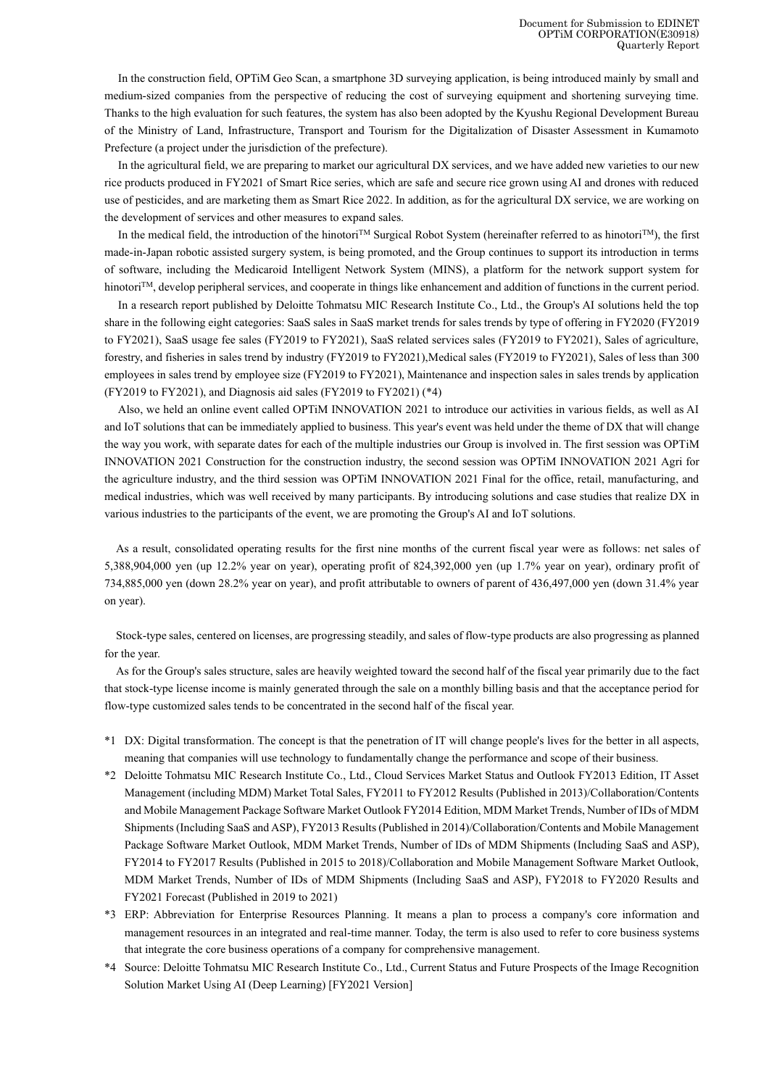In the construction field, OPTiM Geo Scan, a smartphone 3D surveying application, is being introduced mainly by small and medium-sized companies from the perspective of reducing the cost of surveying equipment and shortening surveying time. Thanks to the high evaluation for such features, the system has also been adopted by the Kyushu Regional Development Bureau of the Ministry of Land, Infrastructure, Transport and Tourism for the Digitalization of Disaster Assessment in Kumamoto Prefecture (a project under the jurisdiction of the prefecture).

In the agricultural field, we are preparing to market our agricultural DX services, and we have added new varieties to our new rice products produced in FY2021 of Smart Rice series, which are safe and secure rice grown using AI and drones with reduced use of pesticides, and are marketing them as Smart Rice 2022. In addition, as for the agricultural DX service, we are working on the development of services and other measures to expand sales.

In the medical field, the introduction of the hinotori<sup>TM</sup> Surgical Robot System (hereinafter referred to as hinotori<sup>TM</sup>), the first made-in-Japan robotic assisted surgery system, is being promoted, and the Group continues to support its introduction in terms of software, including the Medicaroid Intelligent Network System (MINS), a platform for the network support system for hinotori<sup>TM</sup>, develop peripheral services, and cooperate in things like enhancement and addition of functions in the current period.

In a research report published by Deloitte Tohmatsu MIC Research Institute Co., Ltd., the Group's AI solutions held the top share in the following eight categories: SaaS sales in SaaS market trends for sales trends by type of offering in FY2020 (FY2019 to FY2021), SaaS usage fee sales (FY2019 to FY2021), SaaS related services sales (FY2019 to FY2021), Sales of agriculture, forestry, and fisheries in sales trend by industry (FY2019 to FY2021),Medical sales (FY2019 to FY2021), Sales of less than 300 employees in sales trend by employee size (FY2019 to FY2021), Maintenance and inspection sales in sales trends by application (FY2019 to FY2021), and Diagnosis aid sales (FY2019 to FY2021) (\*4)

Also, we held an online event called OPTiM INNOVATION 2021 to introduce our activities in various fields, as well as AI and IoT solutions that can be immediately applied to business. This year's event was held under the theme of DX that will change the way you work, with separate dates for each of the multiple industries our Group is involved in. The first session was OPTiM INNOVATION 2021 Construction for the construction industry, the second session was OPTiM INNOVATION 2021 Agri for the agriculture industry, and the third session was OPTiM INNOVATION 2021 Final for the office, retail, manufacturing, and medical industries, which was well received by many participants. By introducing solutions and case studies that realize DX in various industries to the participants of the event, we are promoting the Group's AI and IoT solutions.

As a result, consolidated operating results for the first nine months of the current fiscal year were as follows: net sales of 5,388,904,000 yen (up 12.2% year on year), operating profit of 824,392,000 yen (up 1.7% year on year), ordinary profit of 734,885,000 yen (down 28.2% year on year), and profit attributable to owners of parent of 436,497,000 yen (down 31.4% year on year).

Stock-type sales, centered on licenses, are progressing steadily, and sales of flow-type products are also progressing as planned for the year.

As for the Group's sales structure, sales are heavily weighted toward the second half of the fiscal year primarily due to the fact that stock-type license income is mainly generated through the sale on a monthly billing basis and that the acceptance period for flow-type customized sales tends to be concentrated in the second half of the fiscal year.

- \*1 DX: Digital transformation. The concept is that the penetration of IT will change people's lives for the better in all aspects, meaning that companies will use technology to fundamentally change the performance and scope of their business.
- \*2 Deloitte Tohmatsu MIC Research Institute Co., Ltd., Cloud Services Market Status and Outlook FY2013 Edition, IT Asset Management (including MDM) Market Total Sales, FY2011 to FY2012 Results (Published in 2013)/Collaboration/Contents and Mobile Management Package Software Market Outlook FY2014 Edition, MDM Market Trends, Number of IDs of MDM Shipments (Including SaaS and ASP), FY2013 Results (Published in 2014)/Collaboration/Contents and Mobile Management Package Software Market Outlook, MDM Market Trends, Number of IDs of MDM Shipments (Including SaaS and ASP), FY2014 to FY2017 Results (Published in 2015 to 2018)/Collaboration and Mobile Management Software Market Outlook, MDM Market Trends, Number of IDs of MDM Shipments (Including SaaS and ASP), FY2018 to FY2020 Results and FY2021 Forecast (Published in 2019 to 2021)
- \*3 ERP: Abbreviation for Enterprise Resources Planning. It means a plan to process a company's core information and management resources in an integrated and real-time manner. Today, the term is also used to refer to core business systems that integrate the core business operations of a company for comprehensive management.
- \*4 Source: Deloitte Tohmatsu MIC Research Institute Co., Ltd., Current Status and Future Prospects of the Image Recognition Solution Market Using AI (Deep Learning) [FY2021 Version]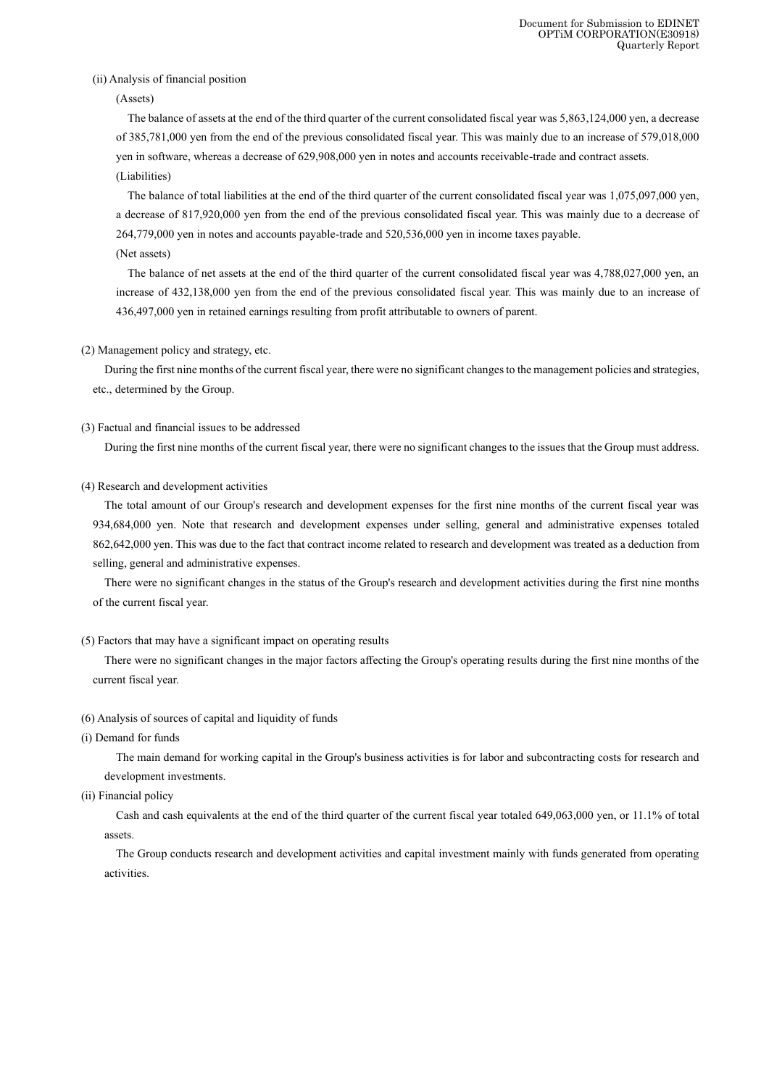#### (ii) Analysis of financial position

(Assets)

The balance of assets at the end of the third quarter of the current consolidated fiscal year was 5,863,124,000 yen, a decrease of 385,781,000 yen from the end of the previous consolidated fiscal year. This was mainly due to an increase of 579,018,000 yen in software, whereas a decrease of 629,908,000 yen in notes and accounts receivable-trade and contract assets. (Liabilities)

The balance of total liabilities at the end of the third quarter of the current consolidated fiscal year was 1,075,097,000 yen, a decrease of 817,920,000 yen from the end of the previous consolidated fiscal year. This was mainly due to a decrease of 264,779,000 yen in notes and accounts payable-trade and 520,536,000 yen in income taxes payable.

(Net assets)

The balance of net assets at the end of the third quarter of the current consolidated fiscal year was 4,788,027,000 yen, an increase of 432,138,000 yen from the end of the previous consolidated fiscal year. This was mainly due to an increase of 436,497,000 yen in retained earnings resulting from profit attributable to owners of parent.

(2) Management policy and strategy, etc.

During the first nine months of the current fiscal year, there were no significant changes to the management policies and strategies, etc., determined by the Group.

### (3) Factual and financial issues to be addressed

During the first nine months of the current fiscal year, there were no significant changes to the issues that the Group must address.

#### (4) Research and development activities

The total amount of our Group's research and development expenses for the first nine months of the current fiscal year was 934,684,000 yen. Note that research and development expenses under selling, general and administrative expenses totaled 862,642,000 yen. This was due to the fact that contract income related to research and development was treated as a deduction from selling, general and administrative expenses.

There were no significant changes in the status of the Group's research and development activities during the first nine months of the current fiscal year.

### (5) Factors that may have a significant impact on operating results

There were no significant changes in the major factors affecting the Group's operating results during the first nine months of the current fiscal year.

#### (6) Analysis of sources of capital and liquidity of funds

(i) Demand for funds

The main demand for working capital in the Group's business activities is for labor and subcontracting costs for research and development investments.

(ii) Financial policy

Cash and cash equivalents at the end of the third quarter of the current fiscal year totaled 649,063,000 yen, or 11.1% of total assets.

The Group conducts research and development activities and capital investment mainly with funds generated from operating activities.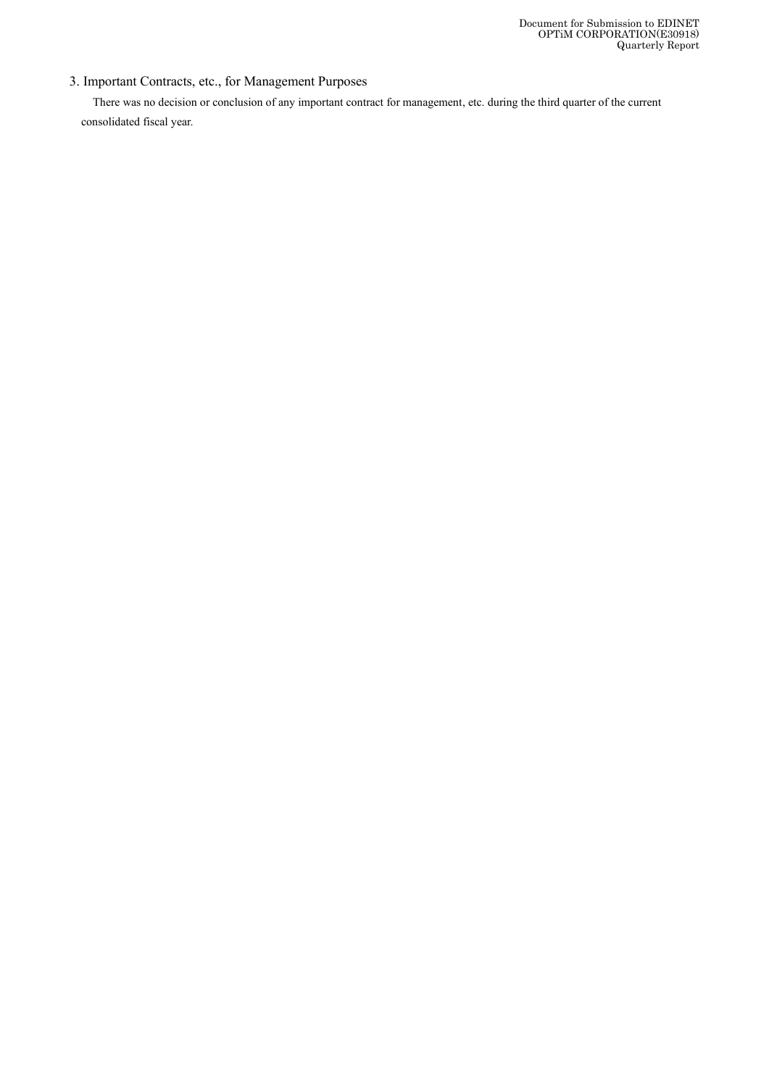# 3. Important Contracts, etc., for Management Purposes

There was no decision or conclusion of any important contract for management, etc. during the third quarter of the current consolidated fiscal year.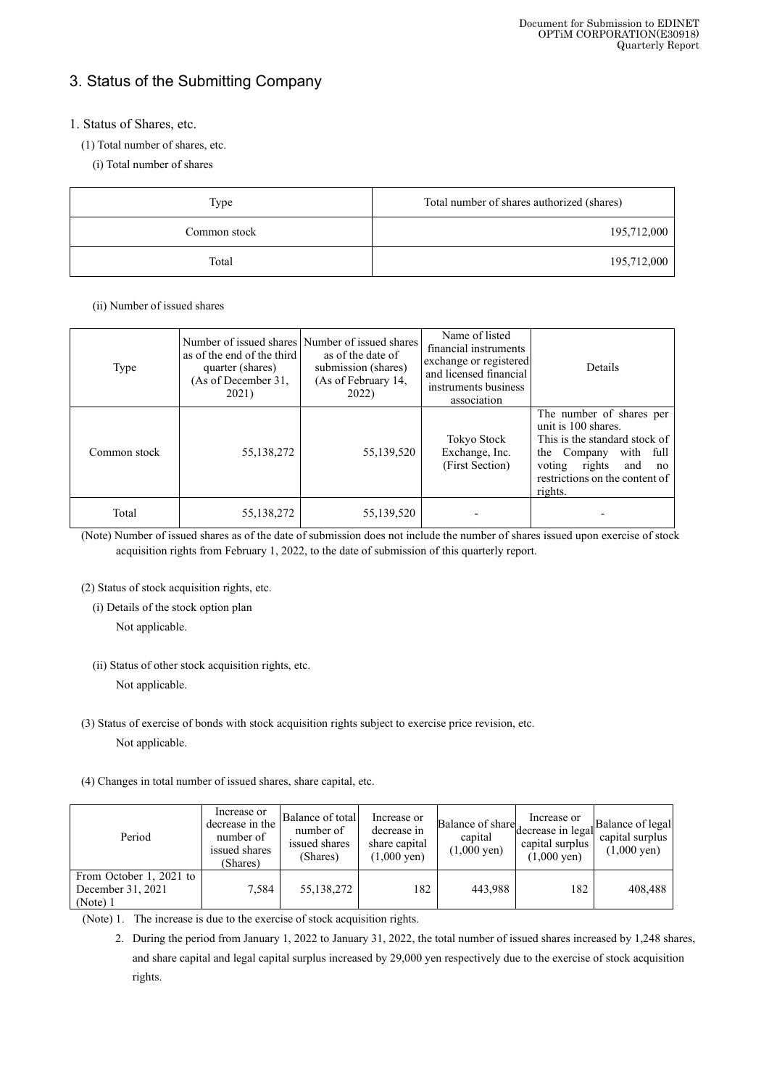# 3. Status of the Submitting Company

# 1. Status of Shares, etc.

- (1) Total number of shares, etc.
	- (i) Total number of shares

| Type         | Total number of shares authorized (shares) |  |
|--------------|--------------------------------------------|--|
| Common stock | 195,712,000                                |  |
| Total        | 195,712,000                                |  |

(ii) Number of issued shares

| Type         | as of the end of the third<br>quarter (shares)<br>(As of December 31,<br>2021) | Number of issued shares Number of issued shares<br>as of the date of<br>submission (shares)<br>(As of February 14,<br>2022) | Name of listed<br>financial instruments<br>exchange or registered<br>and licensed financial<br>instruments business<br>association | Details                                                                                                                                                                                    |
|--------------|--------------------------------------------------------------------------------|-----------------------------------------------------------------------------------------------------------------------------|------------------------------------------------------------------------------------------------------------------------------------|--------------------------------------------------------------------------------------------------------------------------------------------------------------------------------------------|
| Common stock | 55, 138, 272                                                                   | 55,139,520                                                                                                                  | Tokyo Stock<br>Exchange, Inc.<br>(First Section)                                                                                   | The number of shares per<br>unit is 100 shares.<br>This is the standard stock of<br>with full<br>the Company<br>rights<br>voting<br>and<br>no<br>restrictions on the content of<br>rights. |
| Total        | 55,138,272                                                                     | 55,139,520                                                                                                                  |                                                                                                                                    |                                                                                                                                                                                            |

(Note) Number of issued shares as of the date of submission does not include the number of shares issued upon exercise of stock acquisition rights from February 1, 2022, to the date of submission of this quarterly report.

(2) Status of stock acquisition rights, etc.

(i) Details of the stock option plan

Not applicable.

Not applicable.

(3) Status of exercise of bonds with stock acquisition rights subject to exercise price revision, etc.

Not applicable.

(4) Changes in total number of issued shares, share capital, etc.

| Period                                                   | Increase or<br>decrease in the<br>number of<br>issued shares<br>(Shares) | Balance of total<br>number of<br>issued shares<br>(Shares) | Increase or<br>decrease in<br>share capital<br>$(1,000 \text{ yen})$ | Balance of share<br>capital<br>$(1,000 \text{ yen})$ | Increase or<br>decrease in legal<br>capital surplus<br>$(1,000 \text{ yen})$ | Balance of legal<br>capital surplus<br>$(1,000 \text{ yen})$ |
|----------------------------------------------------------|--------------------------------------------------------------------------|------------------------------------------------------------|----------------------------------------------------------------------|------------------------------------------------------|------------------------------------------------------------------------------|--------------------------------------------------------------|
| From October 1, 2021 to<br>December 31, 2021<br>(Note) 1 | 7,584                                                                    | 55,138,272                                                 | 182                                                                  | 443.988                                              | 182                                                                          | 408,488                                                      |

(Note) 1. The increase is due to the exercise of stock acquisition rights.

2. During the period from January 1, 2022 to January 31, 2022, the total number of issued shares increased by 1,248 shares, and share capital and legal capital surplus increased by 29,000 yen respectively due to the exercise of stock acquisition rights.

<sup>(</sup>ii) Status of other stock acquisition rights, etc.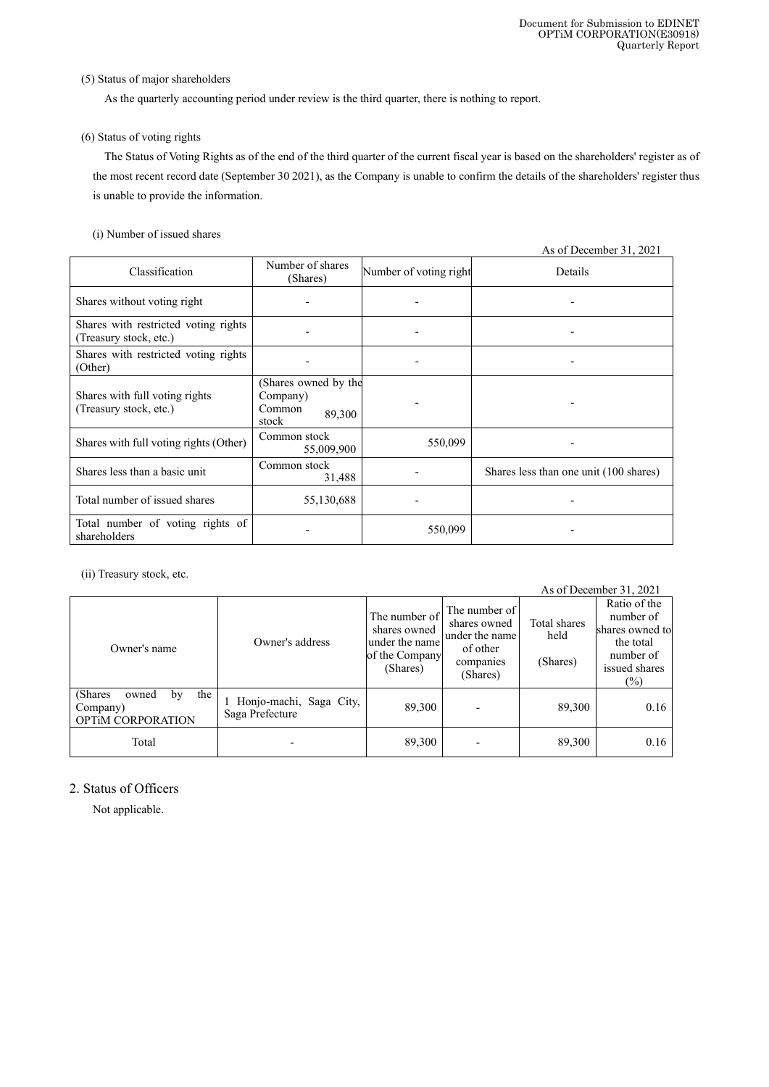### (5) Status of major shareholders

As the quarterly accounting period under review is the third quarter, there is nothing to report.

### (6) Status of voting rights

The Status of Voting Rights as of the end of the third quarter of the current fiscal year is based on the shareholders' register as of the most recent record date (September 30 2021), as the Company is unable to confirm the details of the shareholders' register thus is unable to provide the information.

### (i) Number of issued shares

|                                                                |                                                               |                        | As of December 31, 2021                |
|----------------------------------------------------------------|---------------------------------------------------------------|------------------------|----------------------------------------|
| Classification                                                 | Number of shares<br>(Shares)                                  | Number of voting right | Details                                |
| Shares without voting right                                    |                                                               |                        |                                        |
| Shares with restricted voting rights<br>(Treasury stock, etc.) |                                                               |                        |                                        |
| Shares with restricted voting rights<br>(Other)                |                                                               |                        |                                        |
| Shares with full voting rights<br>(Treasury stock, etc.)       | (Shares owned by the<br>Company)<br>Common<br>89,300<br>stock |                        |                                        |
| Shares with full voting rights (Other)                         | Common stock<br>55,009,900                                    | 550,099                |                                        |
| Shares less than a basic unit                                  | Common stock<br>31,488                                        |                        | Shares less than one unit (100 shares) |
| Total number of issued shares                                  | 55,130,688                                                    |                        |                                        |
| Total number of voting rights of<br>shareholders               |                                                               | 550,099                |                                        |

(ii) Treasury stock, etc.

| As of December 31, 2021                                                |                                            |                                                                               |                                                                                      |                                  |                                                                                                   |
|------------------------------------------------------------------------|--------------------------------------------|-------------------------------------------------------------------------------|--------------------------------------------------------------------------------------|----------------------------------|---------------------------------------------------------------------------------------------------|
| Owner's name                                                           | Owner's address                            | The number of<br>shares owned<br>under the name<br>of the Company<br>(Shares) | The number of<br>shares owned<br>under the name<br>of other<br>companies<br>(Shares) | Total shares<br>held<br>(Shares) | Ratio of the<br>number of<br>shares owned to<br>the total<br>number of<br>issued shares<br>$(\%)$ |
| (Shares)<br>the<br>owned<br>by<br>Company)<br><b>OPTIM CORPORATION</b> | Honjo-machi, Saga City,<br>Saga Prefecture | 89,300                                                                        |                                                                                      | 89,300                           | 0.16                                                                                              |
| Total                                                                  |                                            | 89,300                                                                        |                                                                                      | 89,300                           | 0.16                                                                                              |

# 2. Status of Officers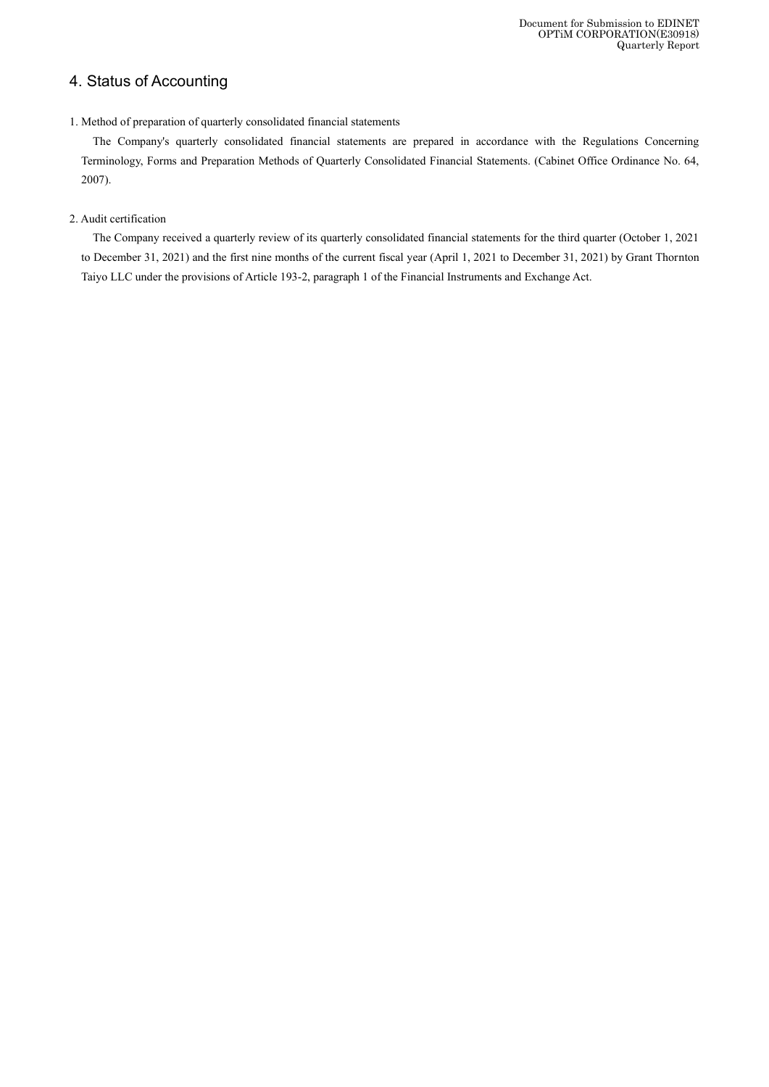# 4. Status of Accounting

### 1. Method of preparation of quarterly consolidated financial statements

The Company's quarterly consolidated financial statements are prepared in accordance with the Regulations Concerning Terminology, Forms and Preparation Methods of Quarterly Consolidated Financial Statements. (Cabinet Office Ordinance No. 64, 2007).

### 2. Audit certification

The Company received a quarterly review of its quarterly consolidated financial statements for the third quarter (October 1, 2021 to December 31, 2021) and the first nine months of the current fiscal year (April 1, 2021 to December 31, 2021) by Grant Thornton Taiyo LLC under the provisions of Article 193-2, paragraph 1 of the Financial Instruments and Exchange Act.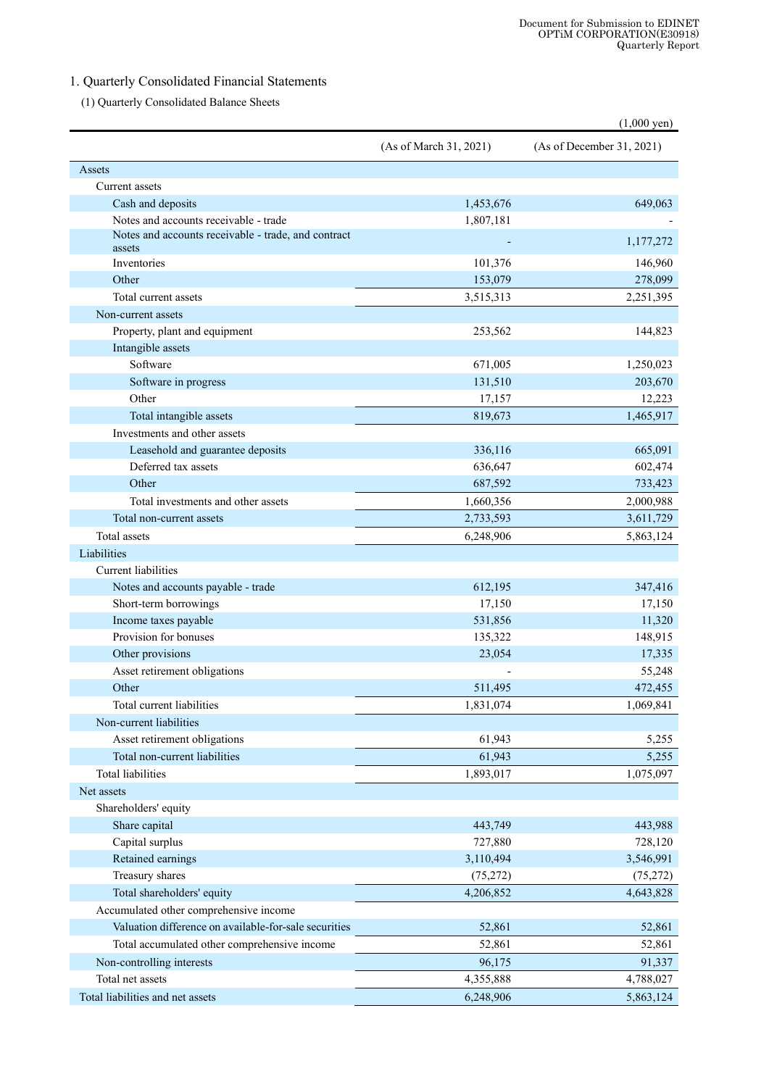# 1. Quarterly Consolidated Financial Statements

(1) Quarterly Consolidated Balance Sheets

|                                                               |                        | $(1,000 \text{ yen})$     |
|---------------------------------------------------------------|------------------------|---------------------------|
|                                                               | (As of March 31, 2021) | (As of December 31, 2021) |
| Assets                                                        |                        |                           |
| Current assets                                                |                        |                           |
| Cash and deposits                                             | 1,453,676              | 649,063                   |
| Notes and accounts receivable - trade                         | 1,807,181              |                           |
| Notes and accounts receivable - trade, and contract<br>assets |                        | 1,177,272                 |
| Inventories                                                   | 101,376                | 146,960                   |
| Other                                                         | 153,079                | 278,099                   |
| Total current assets                                          | 3,515,313              | 2,251,395                 |
| Non-current assets                                            |                        |                           |
| Property, plant and equipment                                 | 253,562                | 144,823                   |
| Intangible assets                                             |                        |                           |
| Software                                                      | 671,005                | 1,250,023                 |
| Software in progress                                          | 131,510                | 203,670                   |
| Other                                                         | 17,157                 | 12,223                    |
| Total intangible assets                                       | 819,673                | 1,465,917                 |
| Investments and other assets                                  |                        |                           |
| Leasehold and guarantee deposits                              | 336,116                | 665,091                   |
| Deferred tax assets                                           | 636,647                | 602,474                   |
| Other                                                         | 687,592                | 733,423                   |
| Total investments and other assets                            | 1,660,356              | 2,000,988                 |
| Total non-current assets                                      | 2,733,593              | 3,611,729                 |
| <b>Total</b> assets                                           | 6,248,906              | 5,863,124                 |
| Liabilities                                                   |                        |                           |
| Current liabilities                                           |                        |                           |
| Notes and accounts payable - trade                            | 612,195                | 347,416                   |
| Short-term borrowings                                         | 17,150                 | 17,150                    |
| Income taxes payable                                          | 531,856                | 11,320                    |
| Provision for bonuses                                         | 135,322                | 148,915                   |
| Other provisions                                              | 23,054                 | 17,335                    |
| Asset retirement obligations                                  |                        | 55,248                    |
| Other                                                         | 511,495                | 472,455                   |
| Total current liabilities                                     | 1,831,074              | 1,069,841                 |
| Non-current liabilities                                       |                        |                           |
| Asset retirement obligations                                  | 61,943                 | 5,255                     |
| Total non-current liabilities                                 | 61,943                 | 5,255                     |
| <b>Total liabilities</b>                                      | 1,893,017              | 1,075,097                 |
| Net assets                                                    |                        |                           |
| Shareholders' equity                                          |                        |                           |
| Share capital                                                 | 443,749                | 443,988                   |
| Capital surplus                                               | 727,880                | 728,120                   |
| Retained earnings                                             | 3,110,494              | 3,546,991                 |
| Treasury shares                                               | (75, 272)              | (75,272)                  |
| Total shareholders' equity                                    | 4,206,852              | 4,643,828                 |
| Accumulated other comprehensive income                        |                        |                           |
| Valuation difference on available-for-sale securities         | 52,861                 | 52,861                    |
| Total accumulated other comprehensive income                  | 52,861                 | 52,861                    |
| Non-controlling interests                                     | 96,175                 | 91,337                    |
| Total net assets                                              | 4,355,888              | 4,788,027                 |
| Total liabilities and net assets                              | 6,248,906              | 5,863,124                 |
|                                                               |                        |                           |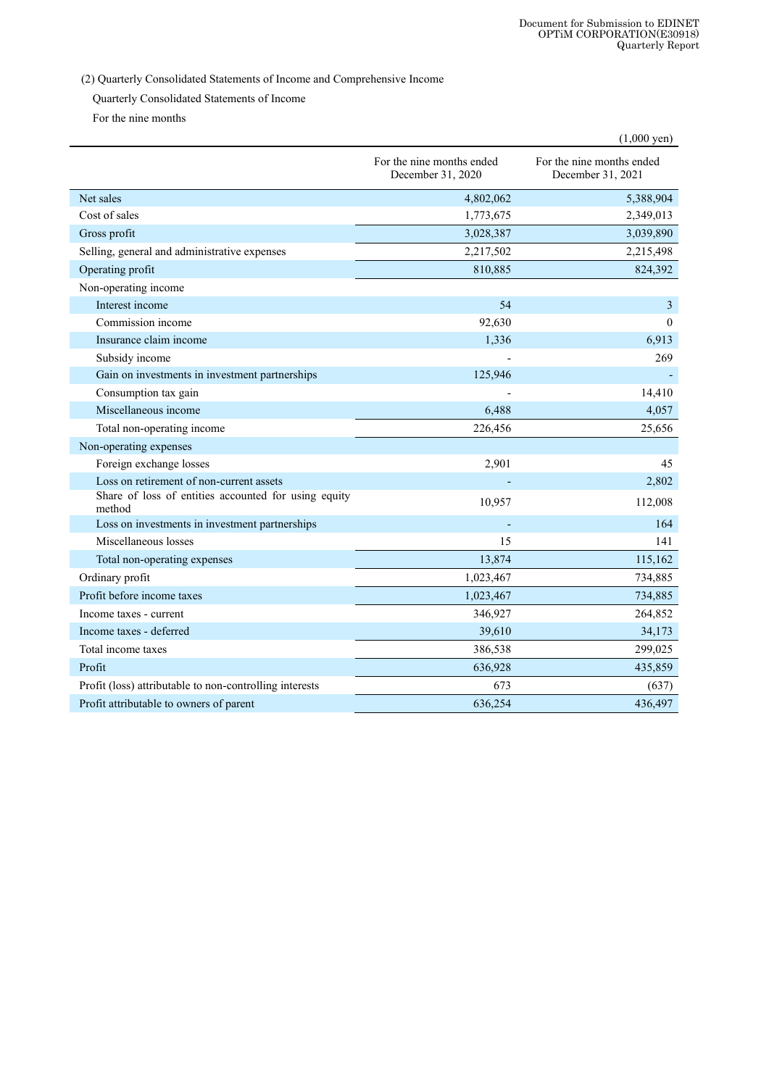(2) Quarterly Consolidated Statements of Income and Comprehensive Income

Quarterly Consolidated Statements of Income

For the nine months

|                                                                |                                                | $(1,000 \text{ yen})$                          |
|----------------------------------------------------------------|------------------------------------------------|------------------------------------------------|
|                                                                | For the nine months ended<br>December 31, 2020 | For the nine months ended<br>December 31, 2021 |
| Net sales                                                      | 4,802,062                                      | 5,388,904                                      |
| Cost of sales                                                  | 1,773,675                                      | 2,349,013                                      |
| Gross profit                                                   | 3,028,387                                      | 3,039,890                                      |
| Selling, general and administrative expenses                   | 2,217,502                                      | 2,215,498                                      |
| Operating profit                                               | 810,885                                        | 824,392                                        |
| Non-operating income                                           |                                                |                                                |
| Interest income                                                | 54                                             | $\mathfrak{Z}$                                 |
| Commission income                                              | 92,630                                         | $\Omega$                                       |
| Insurance claim income                                         | 1,336                                          | 6,913                                          |
| Subsidy income                                                 |                                                | 269                                            |
| Gain on investments in investment partnerships                 | 125,946                                        | $\blacksquare$                                 |
| Consumption tax gain                                           |                                                | 14,410                                         |
| Miscellaneous income                                           | 6,488                                          | 4,057                                          |
| Total non-operating income                                     | 226,456                                        | 25,656                                         |
| Non-operating expenses                                         |                                                |                                                |
| Foreign exchange losses                                        | 2,901                                          | 45                                             |
| Loss on retirement of non-current assets                       |                                                | 2,802                                          |
| Share of loss of entities accounted for using equity<br>method | 10,957                                         | 112,008                                        |
| Loss on investments in investment partnerships                 |                                                | 164                                            |
| Miscellaneous losses                                           | 15                                             | 141                                            |
| Total non-operating expenses                                   | 13,874                                         | 115,162                                        |
| Ordinary profit                                                | 1,023,467                                      | 734,885                                        |
| Profit before income taxes                                     | 1,023,467                                      | 734,885                                        |
| Income taxes - current                                         | 346,927                                        | 264,852                                        |
| Income taxes - deferred                                        | 39,610                                         | 34,173                                         |
| Total income taxes                                             | 386,538                                        | 299,025                                        |
| Profit                                                         | 636,928                                        | 435,859                                        |
| Profit (loss) attributable to non-controlling interests        | 673                                            | (637)                                          |
| Profit attributable to owners of parent                        | 636,254                                        | 436,497                                        |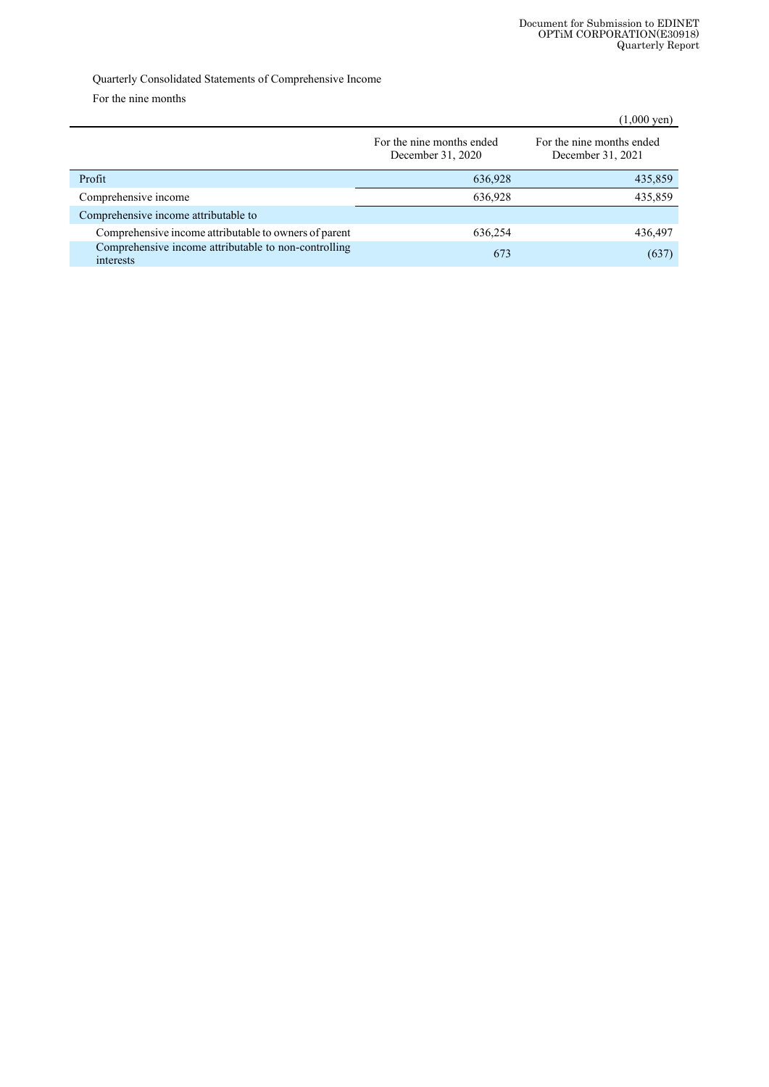## Quarterly Consolidated Statements of Comprehensive Income

For the nine months

|                                                                   |                                                | $(1,000 \text{ yen})$                          |
|-------------------------------------------------------------------|------------------------------------------------|------------------------------------------------|
|                                                                   | For the nine months ended<br>December 31, 2020 | For the nine months ended<br>December 31, 2021 |
| Profit                                                            | 636,928                                        | 435,859                                        |
| Comprehensive income                                              | 636,928                                        | 435,859                                        |
| Comprehensive income attributable to                              |                                                |                                                |
| Comprehensive income attributable to owners of parent             | 636,254                                        | 436,497                                        |
| Comprehensive income attributable to non-controlling<br>interests | 673                                            | (637)                                          |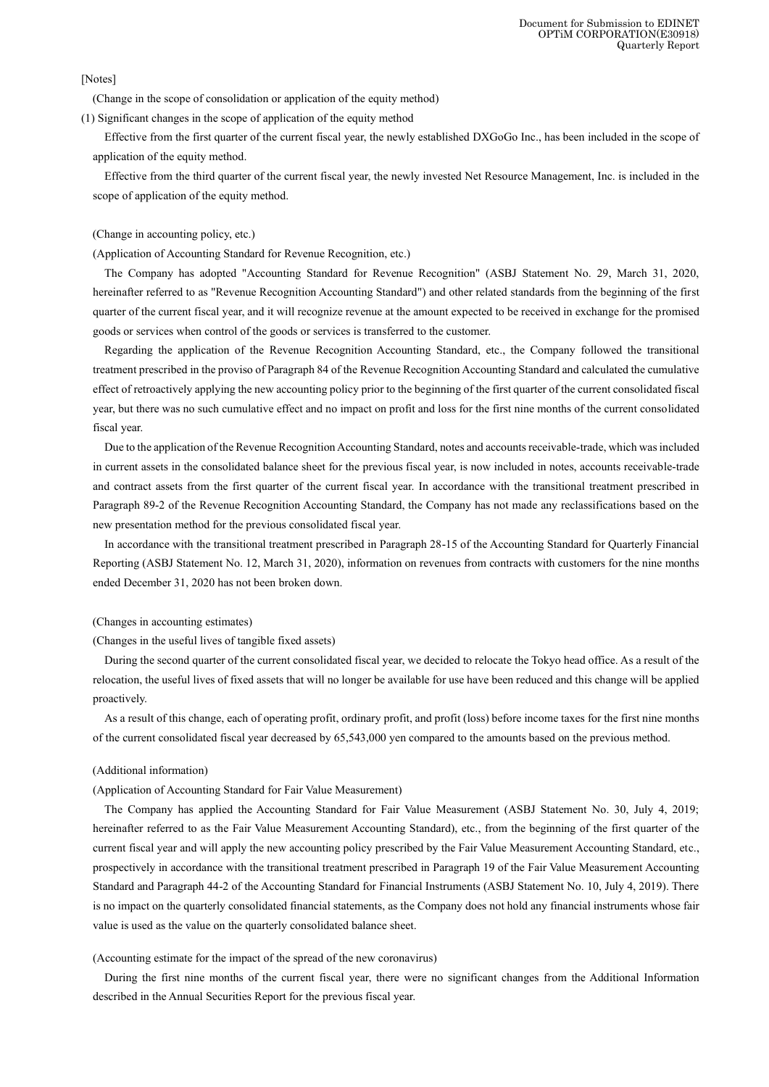[Notes]

(Change in the scope of consolidation or application of the equity method)

(1) Significant changes in the scope of application of the equity method

Effective from the first quarter of the current fiscal year, the newly established DXGoGo Inc., has been included in the scope of application of the equity method.

Effective from the third quarter of the current fiscal year, the newly invested Net Resource Management, Inc. is included in the scope of application of the equity method.

(Change in accounting policy, etc.)

(Application of Accounting Standard for Revenue Recognition, etc.)

The Company has adopted "Accounting Standard for Revenue Recognition" (ASBJ Statement No. 29, March 31, 2020, hereinafter referred to as "Revenue Recognition Accounting Standard") and other related standards from the beginning of the first quarter of the current fiscal year, and it will recognize revenue at the amount expected to be received in exchange for the promised goods or services when control of the goods or services is transferred to the customer.

Regarding the application of the Revenue Recognition Accounting Standard, etc., the Company followed the transitional treatment prescribed in the proviso of Paragraph 84 of the Revenue Recognition Accounting Standard and calculated the cumulative effect of retroactively applying the new accounting policy prior to the beginning of the first quarter of the current consolidated fiscal year, but there was no such cumulative effect and no impact on profit and loss for the first nine months of the current consolidated fiscal year.

Due to the application of the Revenue Recognition Accounting Standard, notes and accounts receivable-trade, which was included in current assets in the consolidated balance sheet for the previous fiscal year, is now included in notes, accounts receivable-trade and contract assets from the first quarter of the current fiscal year. In accordance with the transitional treatment prescribed in Paragraph 89-2 of the Revenue Recognition Accounting Standard, the Company has not made any reclassifications based on the new presentation method for the previous consolidated fiscal year.

In accordance with the transitional treatment prescribed in Paragraph 28-15 of the Accounting Standard for Quarterly Financial Reporting (ASBJ Statement No. 12, March 31, 2020), information on revenues from contracts with customers for the nine months ended December 31, 2020 has not been broken down.

#### (Changes in accounting estimates)

(Changes in the useful lives of tangible fixed assets)

During the second quarter of the current consolidated fiscal year, we decided to relocate the Tokyo head office. As a result of the relocation, the useful lives of fixed assets that will no longer be available for use have been reduced and this change will be applied proactively.

As a result of this change, each of operating profit, ordinary profit, and profit (loss) before income taxes for the first nine months of the current consolidated fiscal year decreased by 65,543,000 yen compared to the amounts based on the previous method.

#### (Additional information)

#### (Application of Accounting Standard for Fair Value Measurement)

The Company has applied the Accounting Standard for Fair Value Measurement (ASBJ Statement No. 30, July 4, 2019; hereinafter referred to as the Fair Value Measurement Accounting Standard), etc., from the beginning of the first quarter of the current fiscal year and will apply the new accounting policy prescribed by the Fair Value Measurement Accounting Standard, etc., prospectively in accordance with the transitional treatment prescribed in Paragraph 19 of the Fair Value Measurement Accounting Standard and Paragraph 44-2 of the Accounting Standard for Financial Instruments (ASBJ Statement No. 10, July 4, 2019). There is no impact on the quarterly consolidated financial statements, as the Company does not hold any financial instruments whose fair value is used as the value on the quarterly consolidated balance sheet.

#### (Accounting estimate for the impact of the spread of the new coronavirus)

During the first nine months of the current fiscal year, there were no significant changes from the Additional Information described in the Annual Securities Report for the previous fiscal year.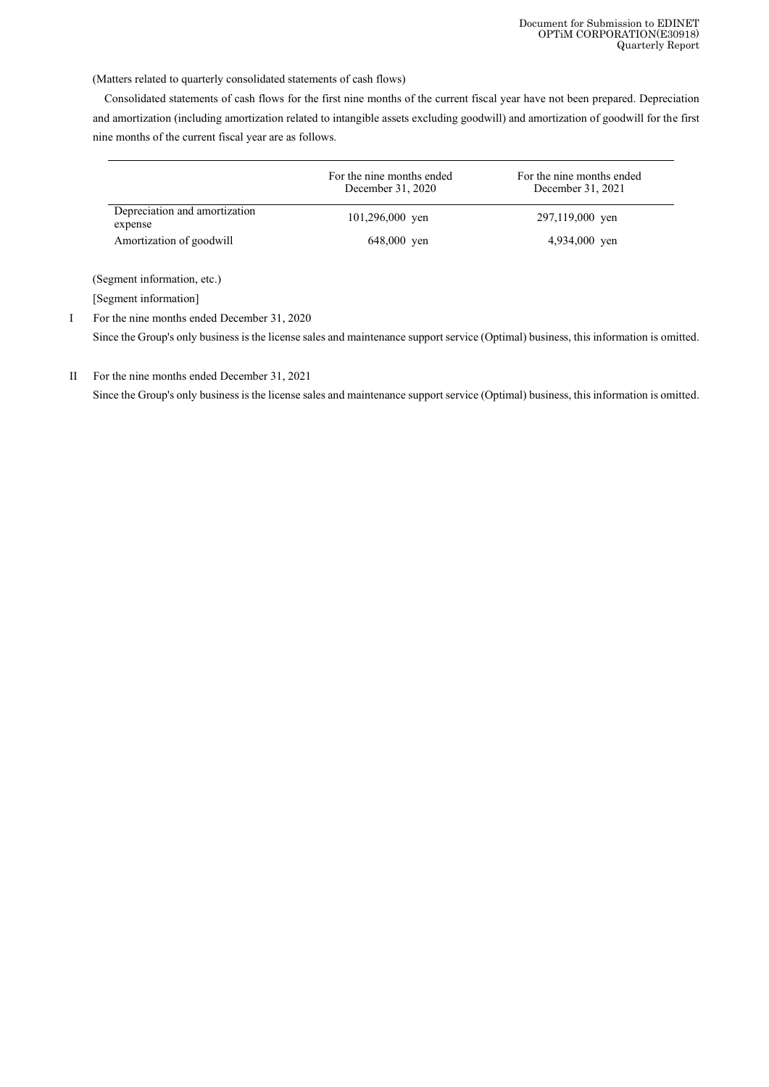(Matters related to quarterly consolidated statements of cash flows)

Consolidated statements of cash flows for the first nine months of the current fiscal year have not been prepared. Depreciation and amortization (including amortization related to intangible assets excluding goodwill) and amortization of goodwill for the first nine months of the current fiscal year are as follows.

|                                          | For the nine months ended<br>December 31, 2020 | For the nine months ended<br>December 31, 2021 |
|------------------------------------------|------------------------------------------------|------------------------------------------------|
| Depreciation and amortization<br>expense | 101,296,000 yen                                | 297,119,000 yen                                |
| Amortization of goodwill                 | 648,000 yen                                    | 4,934,000 yen                                  |

(Segment information, etc.)

[Segment information]

I For the nine months ended December 31, 2020

Since the Group's only business is the license sales and maintenance support service (Optimal) business, this information is omitted.

II For the nine months ended December 31, 2021

Since the Group's only business is the license sales and maintenance support service (Optimal) business, this information is omitted.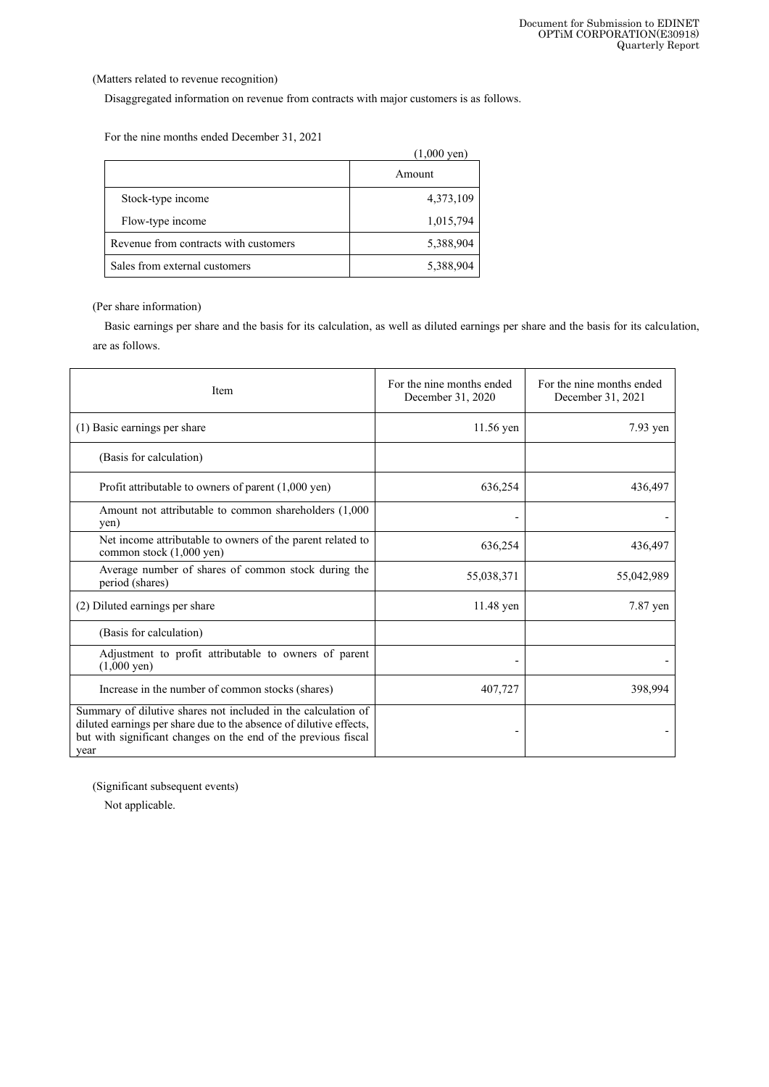(Matters related to revenue recognition)

Disaggregated information on revenue from contracts with major customers is as follows.

For the nine months ended December 31, 2021

|                                       | $(1,000 \text{ yen})$ |
|---------------------------------------|-----------------------|
|                                       | Amount                |
| Stock-type income                     | 4,373,109             |
| Flow-type income                      | 1,015,794             |
| Revenue from contracts with customers | 5,388,904             |
| Sales from external customers         | 5,388,904             |

(Per share information)

Basic earnings per share and the basis for its calculation, as well as diluted earnings per share and the basis for its calculation, are as follows.

| Item                                                                                                                                                                                                          | For the nine months ended<br>December 31, 2020 | For the nine months ended<br>December 31, 2021 |
|---------------------------------------------------------------------------------------------------------------------------------------------------------------------------------------------------------------|------------------------------------------------|------------------------------------------------|
| (1) Basic earnings per share                                                                                                                                                                                  | 11.56 yen                                      | 7.93 yen                                       |
| (Basis for calculation)                                                                                                                                                                                       |                                                |                                                |
| Profit attributable to owners of parent $(1,000 \text{ yen})$                                                                                                                                                 | 636,254                                        | 436,497                                        |
| Amount not attributable to common shareholders (1,000)<br>yen)                                                                                                                                                |                                                |                                                |
| Net income attributable to owners of the parent related to<br>common stock (1,000 yen)                                                                                                                        | 636,254                                        | 436,497                                        |
| Average number of shares of common stock during the<br>period (shares)                                                                                                                                        | 55,038,371                                     | 55,042,989                                     |
| (2) Diluted earnings per share                                                                                                                                                                                | 11.48 yen                                      | 7.87 yen                                       |
| (Basis for calculation)                                                                                                                                                                                       |                                                |                                                |
| Adjustment to profit attributable to owners of parent<br>$(1,000 \text{ yen})$                                                                                                                                |                                                |                                                |
| Increase in the number of common stocks (shares)                                                                                                                                                              | 407,727                                        | 398,994                                        |
| Summary of dilutive shares not included in the calculation of<br>diluted earnings per share due to the absence of dilutive effects,<br>but with significant changes on the end of the previous fiscal<br>year |                                                |                                                |

(Significant subsequent events)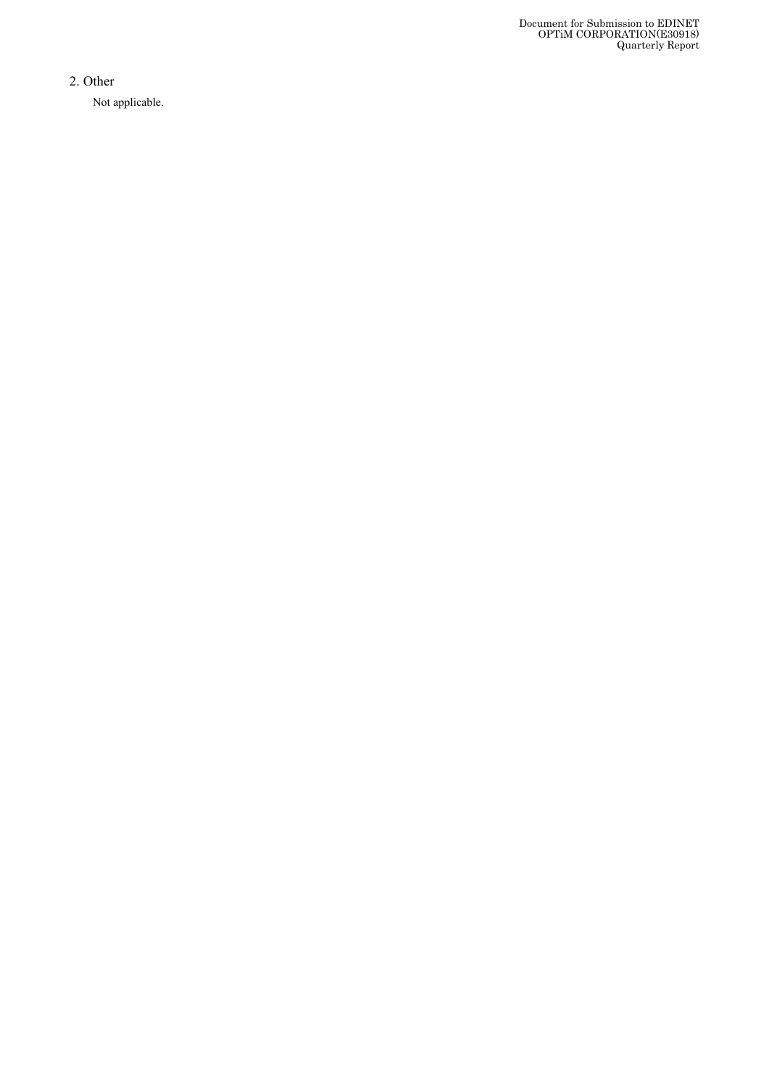Document for Submission to EDINET OPTiM CORPORATION(E30918) Quarterly Report

2 . Other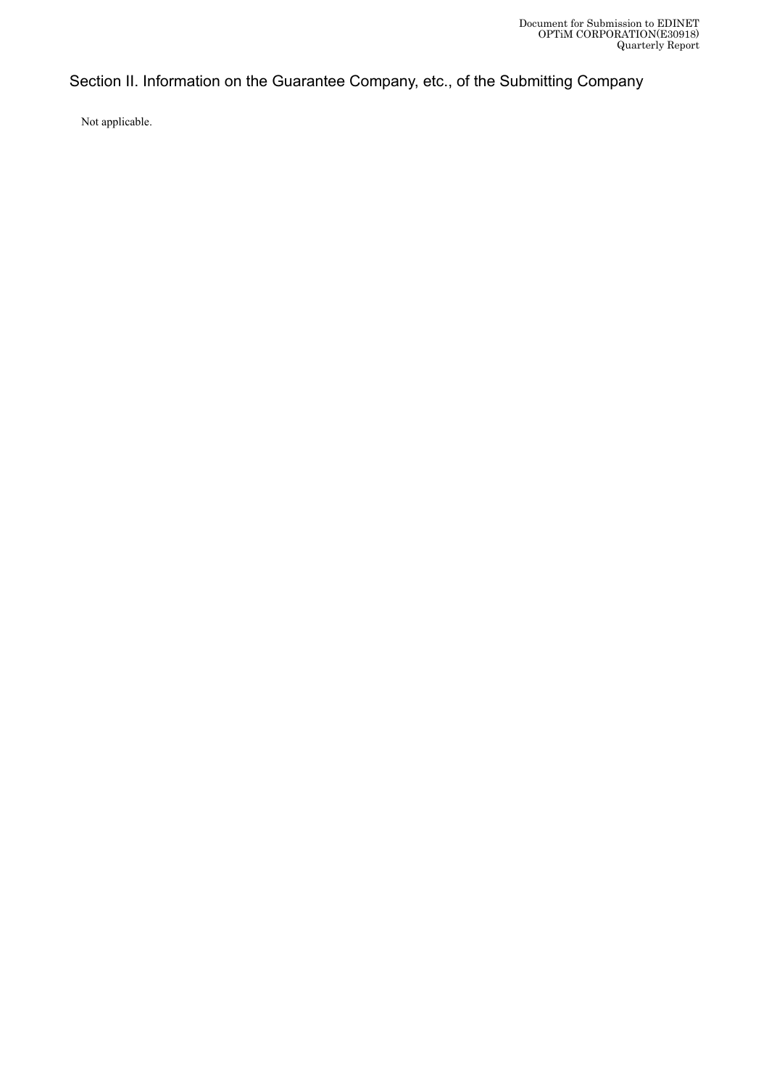# Section II. Information on the Guarantee Company, etc., of the Submitting Company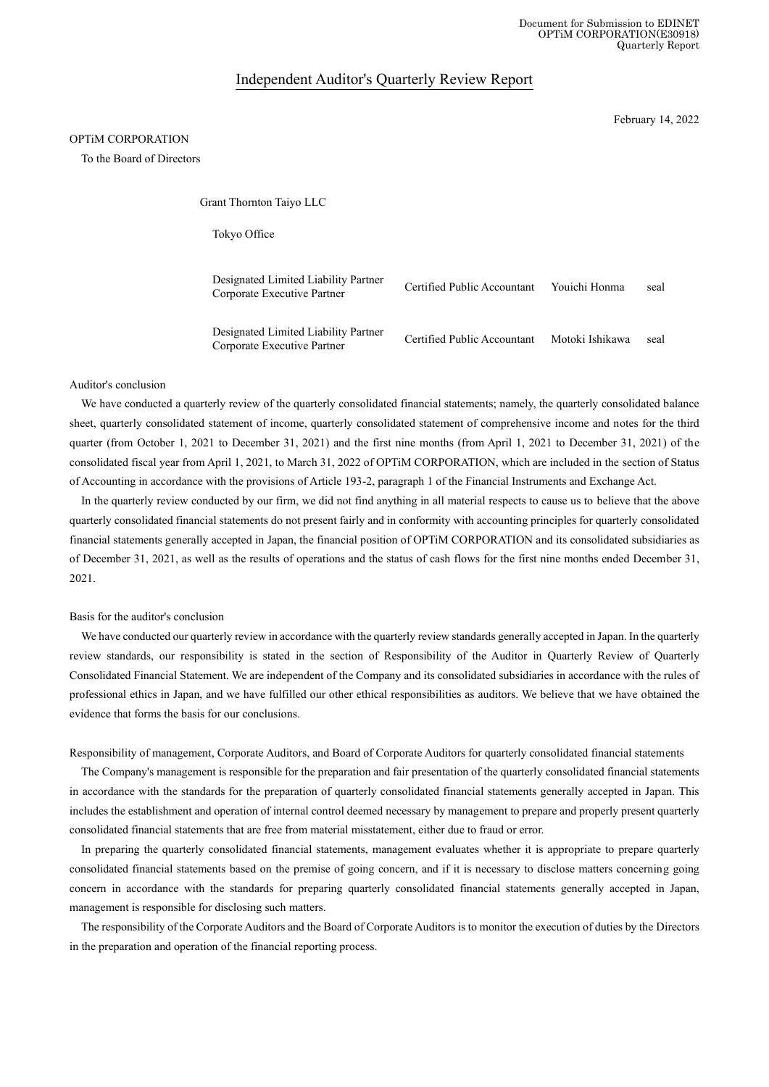Document for Submission to EDINET OPTiM CORPORATION(E30918) Quarterly Report

### Independent Auditor's Quarterly Review Report

February 14, 2022

### OPTiM CORPORATION

To the Board of Directors

Grant Thornton Taiyo LLC

Tokyo Office

| Designated Limited Liability Partner<br>Corporate Executive Partner | Certified Public Accountant | Youichi Honma   | seal |
|---------------------------------------------------------------------|-----------------------------|-----------------|------|
| Designated Limited Liability Partner<br>Corporate Executive Partner | Certified Public Accountant | Motoki Ishikawa | seal |

#### Auditor's conclusion

We have conducted a quarterly review of the quarterly consolidated financial statements; namely, the quarterly consolidated balance sheet, quarterly consolidated statement of income, quarterly consolidated statement of comprehensive income and notes for the third quarter (from October 1, 2021 to December 31, 2021) and the first nine months (from April 1, 2021 to December 31, 2021) of the consolidated fiscal year from April 1, 2021, to March 31, 2022 of OPTiM CORPORATION, which are included in the section of Status of Accounting in accordance with the provisions of Article 193-2, paragraph 1 of the Financial Instruments and Exchange Act.

In the quarterly review conducted by our firm, we did not find anything in all material respects to cause us to believe that the above quarterly consolidated financial statements do not present fairly and in conformity with accounting principles for quarterly consolidated financial statements generally accepted in Japan, the financial position of OPTiM CORPORATION and its consolidated subsidiaries as of December 31, 2021, as well as the results of operations and the status of cash flows for the first nine months ended December 31, 2021.

#### Basis for the auditor's conclusion

We have conducted our quarterly review in accordance with the quarterly review standards generally accepted in Japan. In the quarterly review standards, our responsibility is stated in the section of Responsibility of the Auditor in Quarterly Review of Quarterly Consolidated Financial Statement. We are independent of the Company and its consolidated subsidiaries in accordance with the rules of professional ethics in Japan, and we have fulfilled our other ethical responsibilities as auditors. We believe that we have obtained the evidence that forms the basis for our conclusions.

Responsibility of management, Corporate Auditors, and Board of Corporate Auditors for quarterly consolidated financial statements

The Company's management is responsible for the preparation and fair presentation of the quarterly consolidated financial statements in accordance with the standards for the preparation of quarterly consolidated financial statements generally accepted in Japan. This includes the establishment and operation of internal control deemed necessary by management to prepare and properly present quarterly consolidated financial statements that are free from material misstatement, either due to fraud or error.

In preparing the quarterly consolidated financial statements, management evaluates whether it is appropriate to prepare quarterly consolidated financial statements based on the premise of going concern, and if it is necessary to disclose matters concerning going concern in accordance with the standards for preparing quarterly consolidated financial statements generally accepted in Japan, management is responsible for disclosing such matters.

The responsibility of the Corporate Auditors and the Board of Corporate Auditors is to monitor the execution of duties by the Directors in the preparation and operation of the financial reporting process.